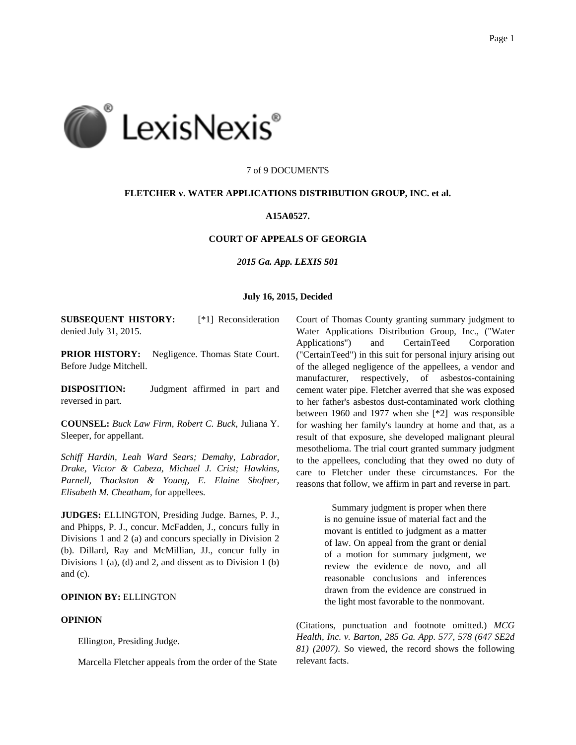

### 7 of 9 DOCUMENTS

### **FLETCHER v. WATER APPLICATIONS DISTRIBUTION GROUP, INC. et al.**

# **A15A0527.**

# **COURT OF APPEALS OF GEORGIA**

*2015 Ga. App. LEXIS 501*

## **July 16, 2015, Decided**

**SUBSEQUENT HISTORY:** [\*1] Reconsideration denied July 31, 2015.

**PRIOR HISTORY:** Negligence. Thomas State Court. Before Judge Mitchell.

**DISPOSITION:** Judgment affirmed in part and reversed in part.

**COUNSEL:** *Buck Law Firm, Robert C. Buck*, Juliana Y. Sleeper, for appellant.

*Schiff Hardin, Leah Ward Sears; Demahy, Labrador, Drake, Victor & Cabeza, Michael J. Crist; Hawkins, Parnell, Thackston & Young, E. Elaine Shofner, Elisabeth M. Cheatham*, for appellees.

**JUDGES:** ELLINGTON, Presiding Judge. Barnes, P. J., and Phipps, P. J., concur. McFadden, J., concurs fully in Divisions 1 and 2 (a) and concurs specially in Division 2 (b). Dillard, Ray and McMillian, JJ., concur fully in Divisions 1 (a), (d) and 2, and dissent as to Division 1 (b) and (c).

# **OPINION BY:** ELLINGTON

## **OPINION**

Ellington, Presiding Judge.

Marcella Fletcher appeals from the order of the State

Court of Thomas County granting summary judgment to Water Applications Distribution Group, Inc., ("Water Applications") and CertainTeed Corporation ("CertainTeed") in this suit for personal injury arising out of the alleged negligence of the appellees, a vendor and manufacturer, respectively, of asbestos-containing cement water pipe. Fletcher averred that she was exposed to her father's asbestos dust-contaminated work clothing between 1960 and 1977 when she [\*2] was responsible for washing her family's laundry at home and that, as a result of that exposure, she developed malignant pleural mesothelioma. The trial court granted summary judgment to the appellees, concluding that they owed no duty of care to Fletcher under these circumstances. For the reasons that follow, we affirm in part and reverse in part.

> Summary judgment is proper when there is no genuine issue of material fact and the movant is entitled to judgment as a matter of law. On appeal from the grant or denial of a motion for summary judgment, we review the evidence de novo, and all reasonable conclusions and inferences drawn from the evidence are construed in the light most favorable to the nonmovant.

(Citations, punctuation and footnote omitted.) *MCG Health, Inc. v. Barton, 285 Ga. App. 577, 578 (647 SE2d 81) (2007)*. So viewed, the record shows the following relevant facts.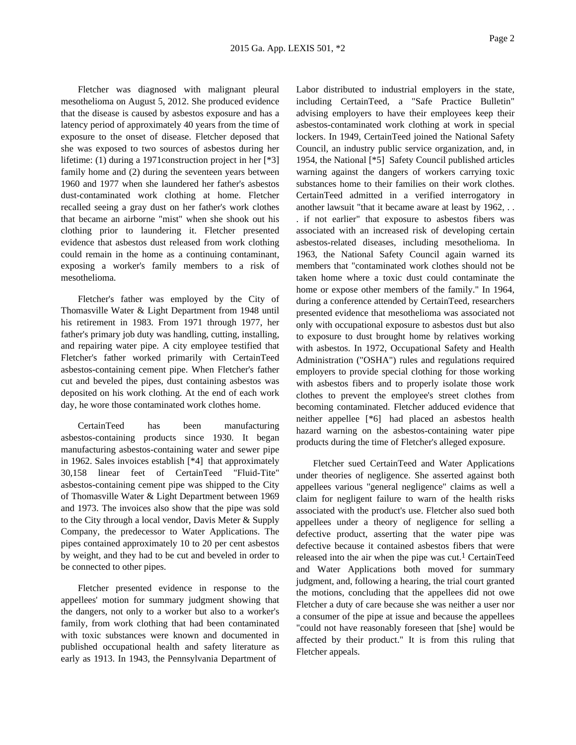Fletcher was diagnosed with malignant pleural mesothelioma on August 5, 2012. She produced evidence that the disease is caused by asbestos exposure and has a latency period of approximately 40 years from the time of exposure to the onset of disease. Fletcher deposed that she was exposed to two sources of asbestos during her lifetime: (1) during a 1971construction project in her [\*3] family home and (2) during the seventeen years between 1960 and 1977 when she laundered her father's asbestos dust-contaminated work clothing at home. Fletcher recalled seeing a gray dust on her father's work clothes that became an airborne "mist" when she shook out his clothing prior to laundering it. Fletcher presented evidence that asbestos dust released from work clothing could remain in the home as a continuing contaminant, exposing a worker's family members to a risk of mesothelioma.

Fletcher's father was employed by the City of Thomasville Water & Light Department from 1948 until his retirement in 1983. From 1971 through 1977, her father's primary job duty was handling, cutting, installing, and repairing water pipe. A city employee testified that Fletcher's father worked primarily with CertainTeed asbestos-containing cement pipe. When Fletcher's father cut and beveled the pipes, dust containing asbestos was deposited on his work clothing. At the end of each work day, he wore those contaminated work clothes home.

CertainTeed has been manufacturing asbestos-containing products since 1930. It began manufacturing asbestos-containing water and sewer pipe in 1962. Sales invoices establish [\*4] that approximately 30,158 linear feet of CertainTeed "Fluid-Tite" asbestos-containing cement pipe was shipped to the City of Thomasville Water & Light Department between 1969 and 1973. The invoices also show that the pipe was sold to the City through a local vendor, Davis Meter & Supply Company, the predecessor to Water Applications. The pipes contained approximately 10 to 20 per cent asbestos by weight, and they had to be cut and beveled in order to be connected to other pipes.

Fletcher presented evidence in response to the appellees' motion for summary judgment showing that the dangers, not only to a worker but also to a worker's family, from work clothing that had been contaminated with toxic substances were known and documented in published occupational health and safety literature as early as 1913. In 1943, the Pennsylvania Department of

Labor distributed to industrial employers in the state, including CertainTeed, a "Safe Practice Bulletin" advising employers to have their employees keep their asbestos-contaminated work clothing at work in special lockers. In 1949, CertainTeed joined the National Safety Council, an industry public service organization, and, in 1954, the National [\*5] Safety Council published articles warning against the dangers of workers carrying toxic substances home to their families on their work clothes. CertainTeed admitted in a verified interrogatory in another lawsuit "that it became aware at least by 1962, . . . if not earlier" that exposure to asbestos fibers was associated with an increased risk of developing certain asbestos-related diseases, including mesothelioma. In 1963, the National Safety Council again warned its members that "contaminated work clothes should not be taken home where a toxic dust could contaminate the home or expose other members of the family." In 1964, during a conference attended by CertainTeed, researchers presented evidence that mesothelioma was associated not only with occupational exposure to asbestos dust but also to exposure to dust brought home by relatives working with asbestos. In 1972, Occupational Safety and Health Administration ("OSHA") rules and regulations required employers to provide special clothing for those working with asbestos fibers and to properly isolate those work clothes to prevent the employee's street clothes from becoming contaminated. Fletcher adduced evidence that neither appellee [\*6] had placed an asbestos health hazard warning on the asbestos-containing water pipe products during the time of Fletcher's alleged exposure.

Fletcher sued CertainTeed and Water Applications under theories of negligence. She asserted against both appellees various "general negligence" claims as well a claim for negligent failure to warn of the health risks associated with the product's use. Fletcher also sued both appellees under a theory of negligence for selling a defective product, asserting that the water pipe was defective because it contained asbestos fibers that were released into the air when the pipe was cut.<sup>1</sup> CertainTeed and Water Applications both moved for summary judgment, and, following a hearing, the trial court granted the motions, concluding that the appellees did not owe Fletcher a duty of care because she was neither a user nor a consumer of the pipe at issue and because the appellees "could not have reasonably foreseen that [she] would be affected by their product." It is from this ruling that Fletcher appeals.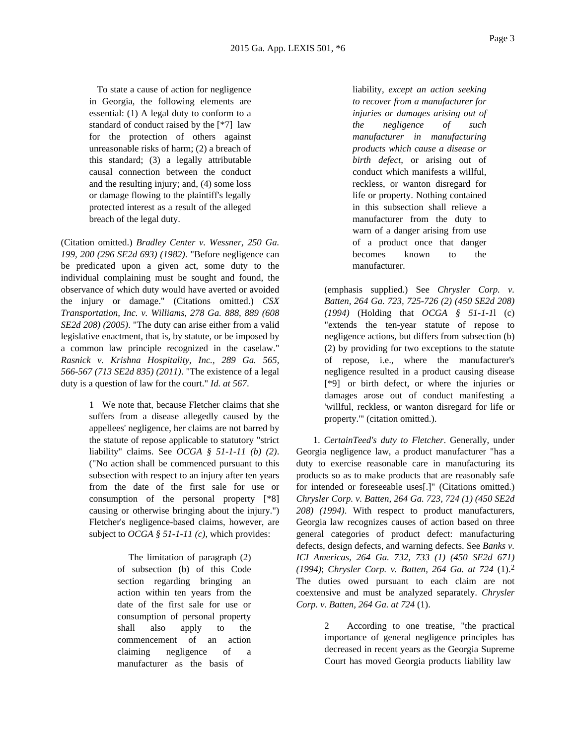To state a cause of action for negligence in Georgia, the following elements are essential: (1) A legal duty to conform to a standard of conduct raised by the [\*7] law for the protection of others against unreasonable risks of harm; (2) a breach of this standard; (3) a legally attributable causal connection between the conduct and the resulting injury; and, (4) some loss or damage flowing to the plaintiff's legally protected interest as a result of the alleged breach of the legal duty.

(Citation omitted.) *Bradley Center v. Wessner, 250 Ga. 199, 200 (296 SE2d 693) (1982)*. "Before negligence can be predicated upon a given act, some duty to the individual complaining must be sought and found, the observance of which duty would have averted or avoided the injury or damage." (Citations omitted.) *CSX Transportation, Inc. v. Williams, 278 Ga. 888, 889 (608 SE2d 208) (2005)*. "The duty can arise either from a valid legislative enactment, that is, by statute, or be imposed by a common law principle recognized in the caselaw." *Rasnick v. Krishna Hospitality, Inc., 289 Ga. 565, 566-567 (713 SE2d 835) (2011)*. "The existence of a legal duty is a question of law for the court." *Id. at 567*.

> 1 We note that, because Fletcher claims that she suffers from a disease allegedly caused by the appellees' negligence, her claims are not barred by the statute of repose applicable to statutory "strict liability" claims. See *OCGA § 51-1-11 (b) (2)*. ("No action shall be commenced pursuant to this subsection with respect to an injury after ten years from the date of the first sale for use or consumption of the personal property [\*8] causing or otherwise bringing about the injury.") Fletcher's negligence-based claims, however, are subject to *OCGA § 51-1-11 (c)*, which provides:

> > The limitation of paragraph (2) of subsection (b) of this Code section regarding bringing an action within ten years from the date of the first sale for use or consumption of personal property shall also apply to the commencement of an action claiming negligence of a manufacturer as the basis of

liability, *except an action seeking to recover from a manufacturer for injuries or damages arising out of the negligence of such manufacturer in manufacturing products which cause a disease or birth defect*, or arising out of conduct which manifests a willful, reckless, or wanton disregard for life or property. Nothing contained in this subsection shall relieve a manufacturer from the duty to warn of a danger arising from use of a product once that danger becomes known to the manufacturer.

(emphasis supplied.) See *Chrysler Corp. v. Batten, 264 Ga. 723, 725-726 (2) (450 SE2d 208) (1994)* (Holding that *OCGA § 51-1-1*l (c) "extends the ten-year statute of repose to negligence actions, but differs from subsection (b) (2) by providing for two exceptions to the statute of repose, i.e., where the manufacturer's negligence resulted in a product causing disease [\*9] or birth defect, or where the injuries or damages arose out of conduct manifesting a 'willful, reckless, or wanton disregard for life or property.'" (citation omitted.).

1. *CertainTeed's duty to Fletcher*. Generally, under Georgia negligence law, a product manufacturer "has a duty to exercise reasonable care in manufacturing its products so as to make products that are reasonably safe for intended or foreseeable uses[.]" (Citations omitted.) *Chrysler Corp. v. Batten, 264 Ga. 723, 724 (1) (450 SE2d 208) (1994)*. With respect to product manufacturers, Georgia law recognizes causes of action based on three general categories of product defect: manufacturing defects, design defects, and warning defects. See *Banks v. ICI Americas, 264 Ga. 732, 733 (1) (450 SE2d 671) (1994)*; *Chrysler Corp. v. Batten, 264 Ga. at 724* (1).2 The duties owed pursuant to each claim are not coextensive and must be analyzed separately. *Chrysler Corp. v. Batten, 264 Ga. at 724* (1).

> 2 According to one treatise, "the practical importance of general negligence principles has decreased in recent years as the Georgia Supreme Court has moved Georgia products liability law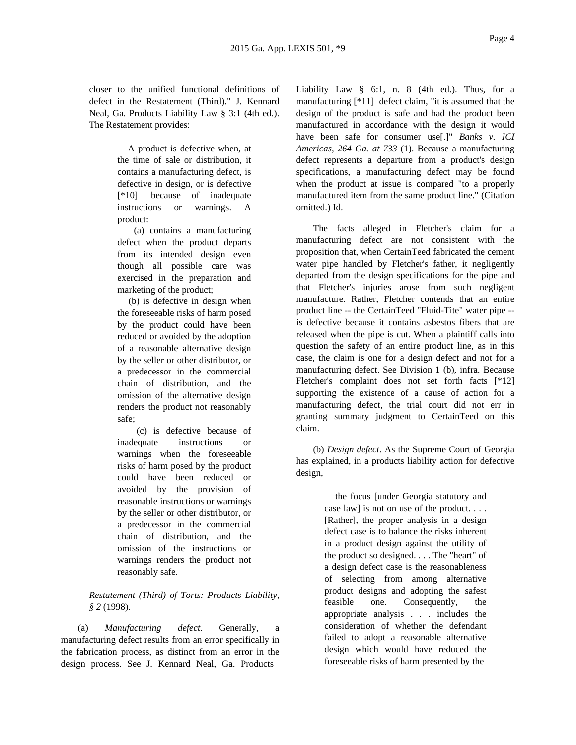closer to the unified functional definitions of defect in the Restatement (Third)." J. Kennard Neal, Ga. Products Liability Law § 3:1 (4th ed.). The Restatement provides:

> A product is defective when, at the time of sale or distribution, it contains a manufacturing defect, is defective in design, or is defective [\*10] because of inadequate instructions or warnings. A product:

(a) contains a manufacturing defect when the product departs from its intended design even though all possible care was exercised in the preparation and marketing of the product;

(b) is defective in design when the foreseeable risks of harm posed by the product could have been reduced or avoided by the adoption of a reasonable alternative design by the seller or other distributor, or a predecessor in the commercial chain of distribution, and the omission of the alternative design renders the product not reasonably safe;

(c) is defective because of inadequate instructions or warnings when the foreseeable risks of harm posed by the product could have been reduced or avoided by the provision of reasonable instructions or warnings by the seller or other distributor, or a predecessor in the commercial chain of distribution, and the omission of the instructions or warnings renders the product not reasonably safe.

# *Restatement (Third) of Torts: Products Liability, § 2* (1998).

(a) *Manufacturing defect*. Generally, a manufacturing defect results from an error specifically in the fabrication process, as distinct from an error in the design process. See J. Kennard Neal, Ga. Products

Liability Law § 6:1, n. 8 (4th ed.). Thus, for a manufacturing [\*11] defect claim, "it is assumed that the design of the product is safe and had the product been manufactured in accordance with the design it would have been safe for consumer use[.]" *Banks v. ICI Americas, 264 Ga. at 733* (1). Because a manufacturing defect represents a departure from a product's design specifications, a manufacturing defect may be found when the product at issue is compared "to a properly manufactured item from the same product line." (Citation omitted.) Id.

The facts alleged in Fletcher's claim for a manufacturing defect are not consistent with the proposition that, when CertainTeed fabricated the cement water pipe handled by Fletcher's father, it negligently departed from the design specifications for the pipe and that Fletcher's injuries arose from such negligent manufacture. Rather, Fletcher contends that an entire product line -- the CertainTeed "Fluid-Tite" water pipe - is defective because it contains asbestos fibers that are released when the pipe is cut. When a plaintiff calls into question the safety of an entire product line, as in this case, the claim is one for a design defect and not for a manufacturing defect. See Division 1 (b), infra. Because Fletcher's complaint does not set forth facts [\*12] supporting the existence of a cause of action for a manufacturing defect, the trial court did not err in granting summary judgment to CertainTeed on this claim.

(b) *Design defect*. As the Supreme Court of Georgia has explained, in a products liability action for defective design,

> the focus [under Georgia statutory and case law] is not on use of the product. . . . [Rather], the proper analysis in a design defect case is to balance the risks inherent in a product design against the utility of the product so designed. . . . The "heart" of a design defect case is the reasonableness of selecting from among alternative product designs and adopting the safest feasible one. Consequently, the appropriate analysis . . . includes the consideration of whether the defendant failed to adopt a reasonable alternative design which would have reduced the foreseeable risks of harm presented by the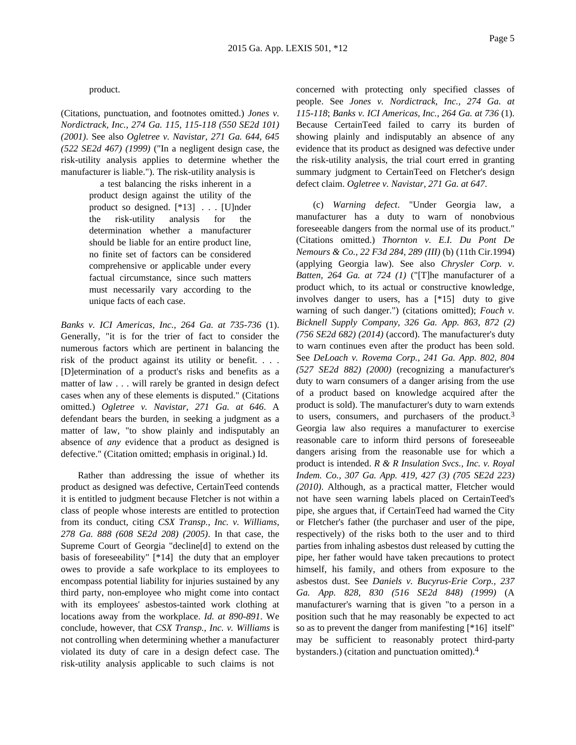#### product.

(Citations, punctuation, and footnotes omitted.) *Jones v. Nordictrack, Inc., 274 Ga. 115, 115-118 (550 SE2d 101) (2001)*. See also *Ogletree v. Navistar, 271 Ga. 644, 645 (522 SE2d 467) (1999)* ("In a negligent design case, the risk-utility analysis applies to determine whether the manufacturer is liable."). The risk-utility analysis is

> a test balancing the risks inherent in a product design against the utility of the product so designed. [\*13] . . . [U]nder the risk-utility analysis for the determination whether a manufacturer should be liable for an entire product line, no finite set of factors can be considered comprehensive or applicable under every factual circumstance, since such matters must necessarily vary according to the unique facts of each case.

*Banks v. ICI Americas, Inc., 264 Ga. at 735-736* (1). Generally, "it is for the trier of fact to consider the numerous factors which are pertinent in balancing the risk of the product against its utility or benefit. . . . [D]etermination of a product's risks and benefits as a matter of law . . . will rarely be granted in design defect cases when any of these elements is disputed." (Citations omitted.) *Ogletree v. Navistar, 271 Ga. at 646*. A defendant bears the burden, in seeking a judgment as a matter of law, "to show plainly and indisputably an absence of *any* evidence that a product as designed is defective." (Citation omitted; emphasis in original.) Id.

Rather than addressing the issue of whether its product as designed was defective, CertainTeed contends it is entitled to judgment because Fletcher is not within a class of people whose interests are entitled to protection from its conduct, citing *CSX Transp., Inc. v. Williams, 278 Ga. 888 (608 SE2d 208) (2005)*. In that case, the Supreme Court of Georgia "decline[d] to extend on the basis of foreseeability" [\*14] the duty that an employer owes to provide a safe workplace to its employees to encompass potential liability for injuries sustained by any third party, non-employee who might come into contact with its employees' asbestos-tainted work clothing at locations away from the workplace. *Id. at 890-891*. We conclude, however, that *CSX Transp., Inc. v. Williams* is not controlling when determining whether a manufacturer violated its duty of care in a design defect case. The risk-utility analysis applicable to such claims is not

concerned with protecting only specified classes of people. See *Jones v. Nordictrack, Inc., 274 Ga. at 115-118*; *Banks v. ICI Americas, Inc., 264 Ga. at 736* (1). Because CertainTeed failed to carry its burden of showing plainly and indisputably an absence of any evidence that its product as designed was defective under the risk-utility analysis, the trial court erred in granting summary judgment to CertainTeed on Fletcher's design defect claim. *Ogletree v. Navistar, 271 Ga. at 647*.

(c) *Warning defect*. "Under Georgia law, a manufacturer has a duty to warn of nonobvious foreseeable dangers from the normal use of its product." (Citations omitted.) *Thornton v. E.I. Du Pont De Nemours & Co., 22 F3d 284, 289 (III)* (b) (11th Cir.1994) (applying Georgia law). See also *Chrysler Corp. v. Batten, 264 Ga. at 724 (1)* ("[T]he manufacturer of a product which, to its actual or constructive knowledge, involves danger to users, has a [\*15] duty to give warning of such danger.") (citations omitted); *Fouch v. Bicknell Supply Company, 326 Ga. App. 863, 872 (2) (756 SE2d 682) (2014)* (accord). The manufacturer's duty to warn continues even after the product has been sold. See *DeLoach v. Rovema Corp., 241 Ga. App. 802, 804 (527 SE2d 882) (2000)* (recognizing a manufacturer's duty to warn consumers of a danger arising from the use of a product based on knowledge acquired after the product is sold). The manufacturer's duty to warn extends to users, consumers, and purchasers of the product.3 Georgia law also requires a manufacturer to exercise reasonable care to inform third persons of foreseeable dangers arising from the reasonable use for which a product is intended. *R & R Insulation Svcs., Inc. v. Royal Indem. Co., 307 Ga. App. 419, 427 (3) (705 SE2d 223) (2010)*. Although, as a practical matter, Fletcher would not have seen warning labels placed on CertainTeed's pipe, she argues that, if CertainTeed had warned the City or Fletcher's father (the purchaser and user of the pipe, respectively) of the risks both to the user and to third parties from inhaling asbestos dust released by cutting the pipe, her father would have taken precautions to protect himself, his family, and others from exposure to the asbestos dust. See *Daniels v. Bucyrus-Erie Corp., 237 Ga. App. 828, 830 (516 SE2d 848) (1999)* (A manufacturer's warning that is given "to a person in a position such that he may reasonably be expected to act so as to prevent the danger from manifesting [\*16] itself" may be sufficient to reasonably protect third-party bystanders.) (citation and punctuation omitted).4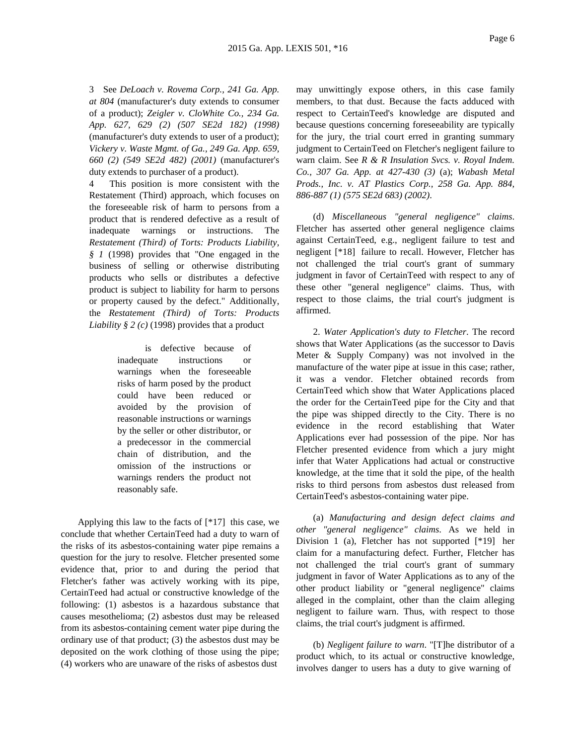3 See *DeLoach v. Rovema Corp., 241 Ga. App. at 804* (manufacturer's duty extends to consumer of a product); *Zeigler v. CloWhite Co., 234 Ga. App. 627, 629 (2) (507 SE2d 182) (1998)* (manufacturer's duty extends to user of a product); *Vickery v. Waste Mgmt. of Ga., 249 Ga. App. 659, 660 (2) (549 SE2d 482) (2001)* (manufacturer's duty extends to purchaser of a product).

4 This position is more consistent with the Restatement (Third) approach, which focuses on the foreseeable risk of harm to persons from a product that is rendered defective as a result of inadequate warnings or instructions. The *Restatement (Third) of Torts: Products Liability, § 1* (1998) provides that "One engaged in the business of selling or otherwise distributing products who sells or distributes a defective product is subject to liability for harm to persons or property caused by the defect." Additionally, the *Restatement (Third) of Torts: Products Liability § 2 (c)* (1998) provides that a product

> is defective because of inadequate instructions or warnings when the foreseeable risks of harm posed by the product could have been reduced or avoided by the provision of reasonable instructions or warnings by the seller or other distributor, or a predecessor in the commercial chain of distribution, and the omission of the instructions or warnings renders the product not reasonably safe.

Applying this law to the facts of [\*17] this case, we conclude that whether CertainTeed had a duty to warn of the risks of its asbestos-containing water pipe remains a question for the jury to resolve. Fletcher presented some evidence that, prior to and during the period that Fletcher's father was actively working with its pipe, CertainTeed had actual or constructive knowledge of the following: (1) asbestos is a hazardous substance that causes mesothelioma; (2) asbestos dust may be released from its asbestos-containing cement water pipe during the ordinary use of that product; (3) the asbestos dust may be deposited on the work clothing of those using the pipe; (4) workers who are unaware of the risks of asbestos dust

may unwittingly expose others, in this case family members, to that dust. Because the facts adduced with respect to CertainTeed's knowledge are disputed and because questions concerning foreseeability are typically for the jury, the trial court erred in granting summary judgment to CertainTeed on Fletcher's negligent failure to warn claim. See *R & R Insulation Svcs. v. Royal Indem. Co., 307 Ga. App. at 427-430 (3)* (a); *Wabash Metal Prods., Inc. v. AT Plastics Corp., 258 Ga. App. 884, 886-887 (1) (575 SE2d 683) (2002)*.

(d) *Miscellaneous "general negligence" claims*. Fletcher has asserted other general negligence claims against CertainTeed, e.g., negligent failure to test and negligent [\*18] failure to recall. However, Fletcher has not challenged the trial court's grant of summary judgment in favor of CertainTeed with respect to any of these other "general negligence" claims. Thus, with respect to those claims, the trial court's judgment is affirmed.

2. *Water Application's duty to Fletcher*. The record shows that Water Applications (as the successor to Davis Meter & Supply Company) was not involved in the manufacture of the water pipe at issue in this case; rather, it was a vendor. Fletcher obtained records from CertainTeed which show that Water Applications placed the order for the CertainTeed pipe for the City and that the pipe was shipped directly to the City. There is no evidence in the record establishing that Water Applications ever had possession of the pipe. Nor has Fletcher presented evidence from which a jury might infer that Water Applications had actual or constructive knowledge, at the time that it sold the pipe, of the health risks to third persons from asbestos dust released from CertainTeed's asbestos-containing water pipe.

(a) *Manufacturing and design defect claims and other "general negligence" claims*. As we held in Division 1 (a), Fletcher has not supported [\*19] her claim for a manufacturing defect. Further, Fletcher has not challenged the trial court's grant of summary judgment in favor of Water Applications as to any of the other product liability or "general negligence" claims alleged in the complaint, other than the claim alleging negligent to failure warn. Thus, with respect to those claims, the trial court's judgment is affirmed.

(b) *Negligent failure to warn*. "[T]he distributor of a product which, to its actual or constructive knowledge, involves danger to users has a duty to give warning of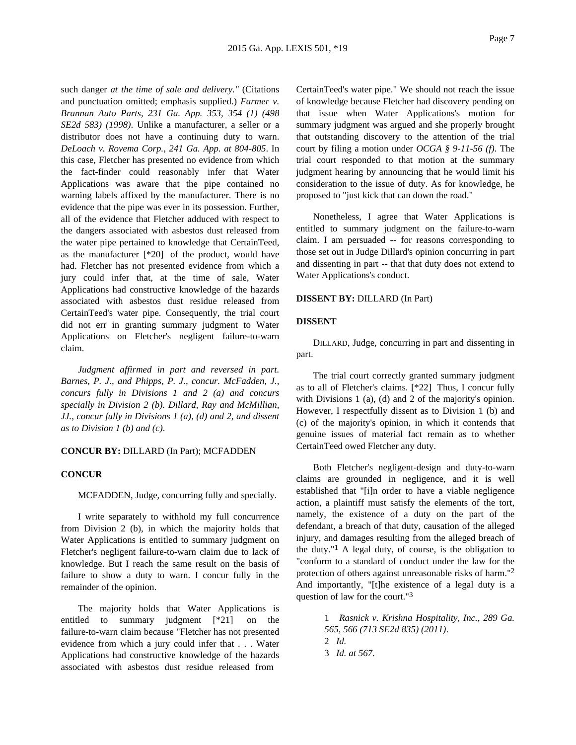such danger *at the time of sale and delivery."* (Citations and punctuation omitted; emphasis supplied.) *Farmer v. Brannan Auto Parts, 231 Ga. App. 353, 354 (1) (498 SE2d 583) (1998)*. Unlike a manufacturer, a seller or a distributor does not have a continuing duty to warn. *DeLoach v. Rovema Corp., 241 Ga. App. at 804-805*. In this case, Fletcher has presented no evidence from which the fact-finder could reasonably infer that Water Applications was aware that the pipe contained no warning labels affixed by the manufacturer. There is no evidence that the pipe was ever in its possession. Further, all of the evidence that Fletcher adduced with respect to the dangers associated with asbestos dust released from the water pipe pertained to knowledge that CertainTeed, as the manufacturer [\*20] of the product, would have had. Fletcher has not presented evidence from which a jury could infer that, at the time of sale, Water Applications had constructive knowledge of the hazards associated with asbestos dust residue released from CertainTeed's water pipe. Consequently, the trial court did not err in granting summary judgment to Water Applications on Fletcher's negligent failure-to-warn claim.

*Judgment affirmed in part and reversed in part. Barnes, P. J., and Phipps, P. J., concur. McFadden, J., concurs fully in Divisions 1 and 2 (a) and concurs specially in Division 2 (b). Dillard, Ray and McMillian, JJ., concur fully in Divisions 1 (a), (d) and 2, and dissent as to Division 1 (b) and (c)*.

### **CONCUR BY:** DILLARD (In Part); MCFADDEN

#### **CONCUR**

MCFADDEN, Judge, concurring fully and specially.

I write separately to withhold my full concurrence from Division 2 (b), in which the majority holds that Water Applications is entitled to summary judgment on Fletcher's negligent failure-to-warn claim due to lack of knowledge. But I reach the same result on the basis of failure to show a duty to warn. I concur fully in the remainder of the opinion.

The majority holds that Water Applications is entitled to summary judgment [\*21] on the failure-to-warn claim because "Fletcher has not presented evidence from which a jury could infer that . . . Water Applications had constructive knowledge of the hazards associated with asbestos dust residue released from

CertainTeed's water pipe." We should not reach the issue of knowledge because Fletcher had discovery pending on that issue when Water Applications's motion for summary judgment was argued and she properly brought that outstanding discovery to the attention of the trial court by filing a motion under *OCGA § 9-11-56 (f)*. The trial court responded to that motion at the summary judgment hearing by announcing that he would limit his consideration to the issue of duty. As for knowledge, he proposed to "just kick that can down the road."

Nonetheless, I agree that Water Applications is entitled to summary judgment on the failure-to-warn claim. I am persuaded -- for reasons corresponding to those set out in Judge Dillard's opinion concurring in part and dissenting in part -- that that duty does not extend to Water Applications's conduct.

# **DISSENT BY:** DILLARD (In Part)

## **DISSENT**

DILLARD, Judge, concurring in part and dissenting in part.

The trial court correctly granted summary judgment as to all of Fletcher's claims. [\*22] Thus, I concur fully with Divisions 1 (a), (d) and 2 of the majority's opinion. However, I respectfully dissent as to Division 1 (b) and (c) of the majority's opinion, in which it contends that genuine issues of material fact remain as to whether CertainTeed owed Fletcher any duty.

Both Fletcher's negligent-design and duty-to-warn claims are grounded in negligence, and it is well established that "[i]n order to have a viable negligence action, a plaintiff must satisfy the elements of the tort, namely, the existence of a duty on the part of the defendant, a breach of that duty, causation of the alleged injury, and damages resulting from the alleged breach of the duty."<sup>1</sup> A legal duty, of course, is the obligation to "conform to a standard of conduct under the law for the protection of others against unreasonable risks of harm."2 And importantly, "[t]he existence of a legal duty is a question of law for the court."3

> 1 *Rasnick v. Krishna Hospitality, Inc., 289 Ga. 565, 566 (713 SE2d 835) (2011)*. 2 *Id.* 3 *Id. at 567*.